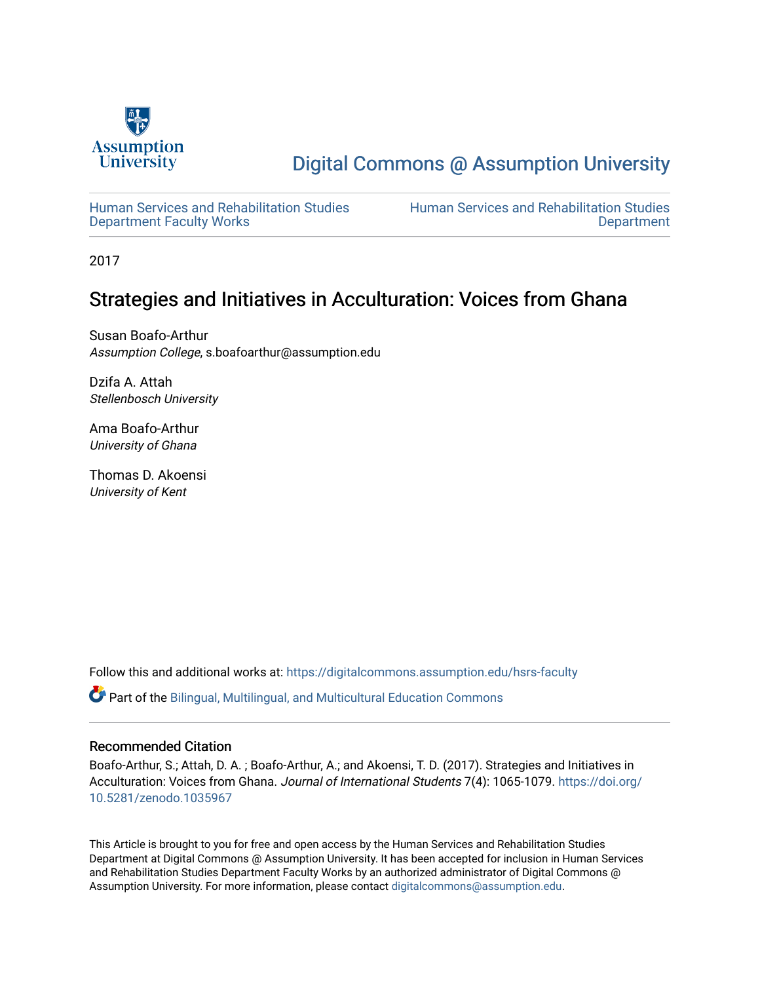

# [Digital Commons @ Assumption University](https://digitalcommons.assumption.edu/)

[Human Services and Rehabilitation Studies](https://digitalcommons.assumption.edu/hsrs-faculty)  [Department Faculty Works](https://digitalcommons.assumption.edu/hsrs-faculty)

[Human Services and Rehabilitation Studies](https://digitalcommons.assumption.edu/hsrs)  [Department](https://digitalcommons.assumption.edu/hsrs) 

2017

# Strategies and Initiatives in Acculturation: Voices from Ghana

Susan Boafo-Arthur Assumption College, s.boafoarthur@assumption.edu

Dzifa A. Attah Stellenbosch University

Ama Boafo-Arthur University of Ghana

Thomas D. Akoensi University of Kent

Follow this and additional works at: [https://digitalcommons.assumption.edu/hsrs-faculty](https://digitalcommons.assumption.edu/hsrs-faculty?utm_source=digitalcommons.assumption.edu%2Fhsrs-faculty%2F7&utm_medium=PDF&utm_campaign=PDFCoverPages) 

Part of the [Bilingual, Multilingual, and Multicultural Education Commons](http://network.bepress.com/hgg/discipline/785?utm_source=digitalcommons.assumption.edu%2Fhsrs-faculty%2F7&utm_medium=PDF&utm_campaign=PDFCoverPages) 

#### Recommended Citation

Boafo-Arthur, S.; Attah, D. A. ; Boafo-Arthur, A.; and Akoensi, T. D. (2017). Strategies and Initiatives in Acculturation: Voices from Ghana. Journal of International Students 7(4): 1065-1079. [https://doi.org/](https://doi.org/10.5281/zenodo.1035967) [10.5281/zenodo.1035967](https://doi.org/10.5281/zenodo.1035967)

This Article is brought to you for free and open access by the Human Services and Rehabilitation Studies Department at Digital Commons @ Assumption University. It has been accepted for inclusion in Human Services and Rehabilitation Studies Department Faculty Works by an authorized administrator of Digital Commons @ Assumption University. For more information, please contact [digitalcommons@assumption.edu.](mailto:digitalcommons@assumption.edu)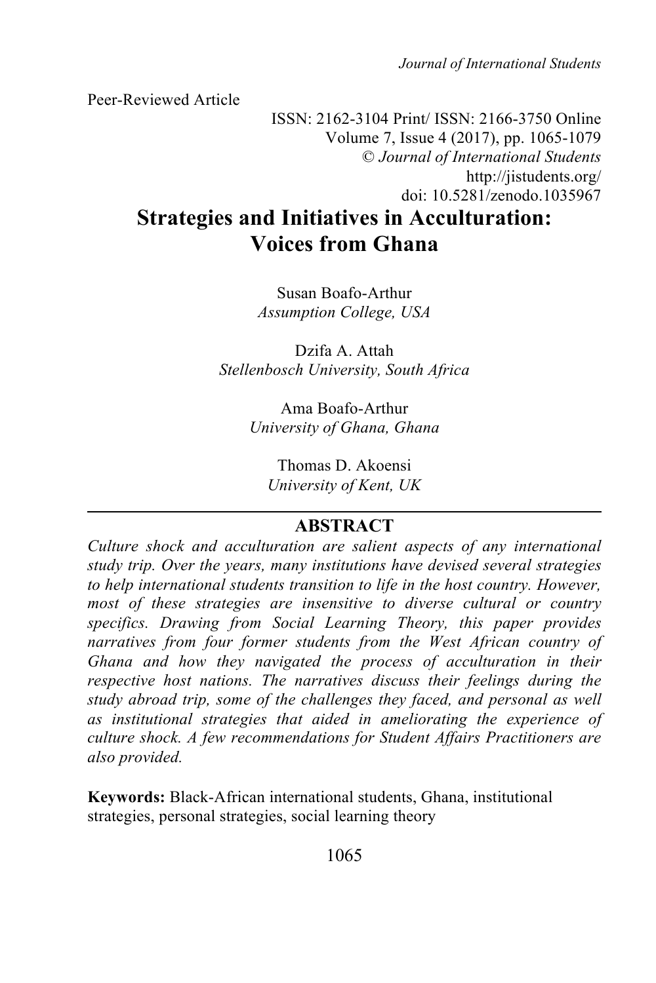*Journal of International Students*

Peer-Reviewed Article

ISSN: 2162-3104 Print/ ISSN: 2166-3750 Online Volume 7, Issue 4 (2017), pp. 1065-1079 © *Journal of International Students* http://jistudents.org/ doi: 10.5281/zenodo.1035967

# **Strategies and Initiatives in Acculturation: Voices from Ghana**

Susan Boafo-Arthur *Assumption College, USA*

Dzifa A. Attah *Stellenbosch University, South Africa*

> Ama Boafo-Arthur *University of Ghana, Ghana*

Thomas D. Akoensi *University of Kent, UK*

# **ABSTRACT**

*Culture shock and acculturation are salient aspects of any international study trip. Over the years, many institutions have devised several strategies to help international students transition to life in the host country. However, most of these strategies are insensitive to diverse cultural or country specifics. Drawing from Social Learning Theory, this paper provides narratives from four former students from the West African country of Ghana and how they navigated the process of acculturation in their respective host nations. The narratives discuss their feelings during the study abroad trip, some of the challenges they faced, and personal as well as institutional strategies that aided in ameliorating the experience of culture shock. A few recommendations for Student Affairs Practitioners are also provided.*

**Keywords:** Black-African international students, Ghana, institutional strategies, personal strategies, social learning theory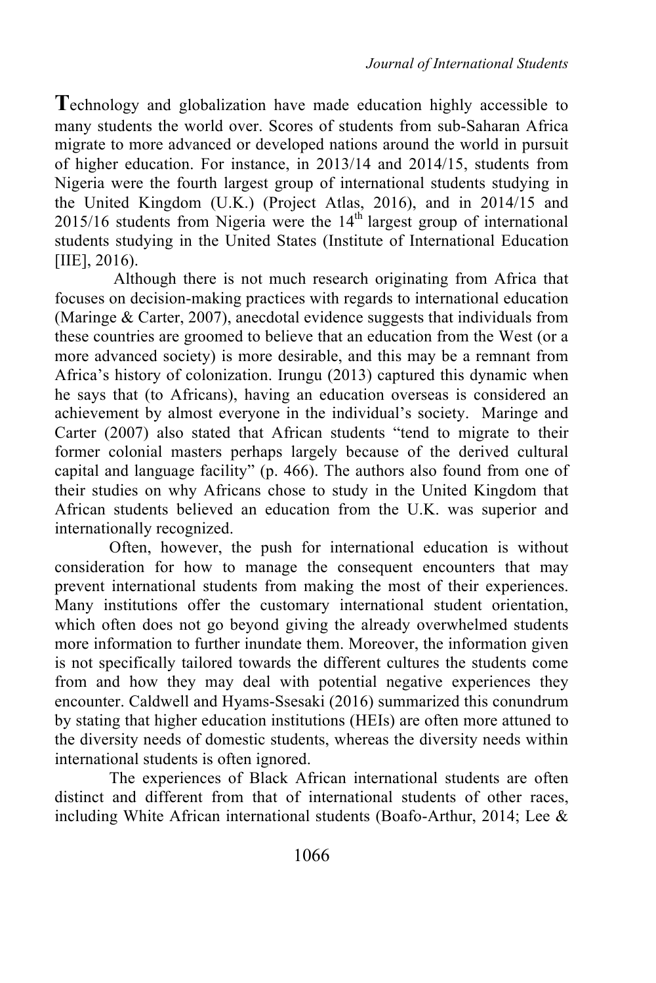**T**echnology and globalization have made education highly accessible to many students the world over. Scores of students from sub-Saharan Africa migrate to more advanced or developed nations around the world in pursuit of higher education. For instance, in 2013/14 and 2014/15, students from Nigeria were the fourth largest group of international students studying in the United Kingdom (U.K.) (Project Atlas, 2016), and in 2014/15 and  $2015/16$  students from Nigeria were the  $14<sup>th</sup>$  largest group of international students studying in the United States (Institute of International Education [IIE], 2016).

Although there is not much research originating from Africa that focuses on decision-making practices with regards to international education (Maringe & Carter, 2007), anecdotal evidence suggests that individuals from these countries are groomed to believe that an education from the West (or a more advanced society) is more desirable, and this may be a remnant from Africa's history of colonization. Irungu (2013) captured this dynamic when he says that (to Africans), having an education overseas is considered an achievement by almost everyone in the individual's society. Maringe and Carter (2007) also stated that African students "tend to migrate to their former colonial masters perhaps largely because of the derived cultural capital and language facility" (p. 466). The authors also found from one of their studies on why Africans chose to study in the United Kingdom that African students believed an education from the U.K. was superior and internationally recognized.

Often, however, the push for international education is without consideration for how to manage the consequent encounters that may prevent international students from making the most of their experiences. Many institutions offer the customary international student orientation, which often does not go beyond giving the already overwhelmed students more information to further inundate them. Moreover, the information given is not specifically tailored towards the different cultures the students come from and how they may deal with potential negative experiences they encounter. Caldwell and Hyams-Ssesaki (2016) summarized this conundrum by stating that higher education institutions (HEIs) are often more attuned to the diversity needs of domestic students, whereas the diversity needs within international students is often ignored.

The experiences of Black African international students are often distinct and different from that of international students of other races, including White African international students (Boafo-Arthur, 2014; Lee &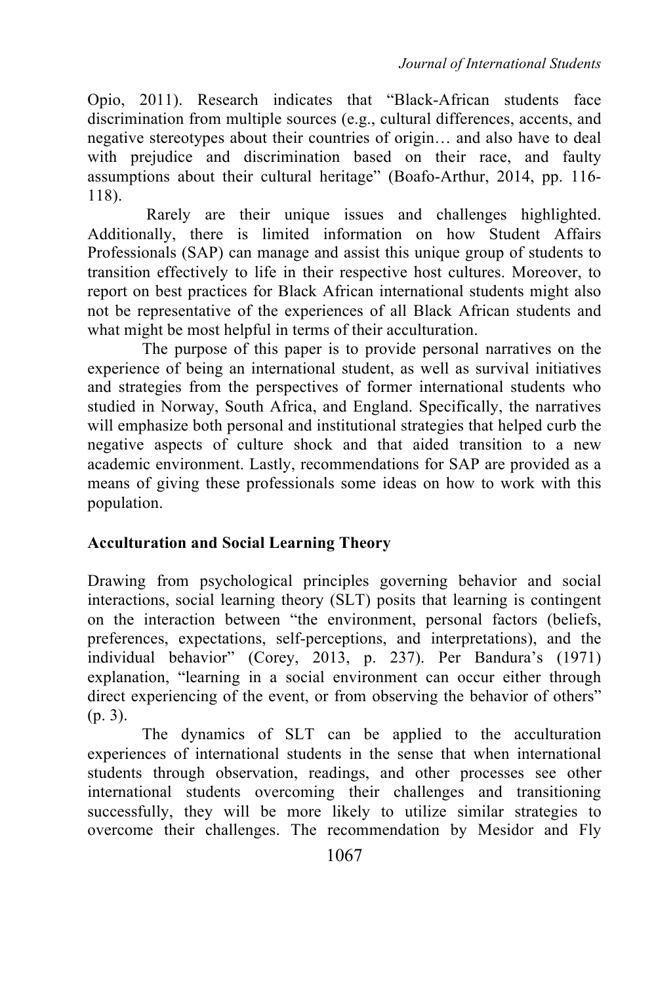Opio, 2011). Research indicates that "Black-African students face discrimination from multiple sources (e.g., cultural differences, accents, and negative stereotypes about their countries of origin… and also have to deal with prejudice and discrimination based on their race, and faulty assumptions about their cultural heritage" (Boafo-Arthur, 2014, pp. 116- 118).

Rarely are their unique issues and challenges highlighted. Additionally, there is limited information on how Student Affairs Professionals (SAP) can manage and assist this unique group of students to transition effectively to life in their respective host cultures. Moreover, to report on best practices for Black African international students might also not be representative of the experiences of all Black African students and what might be most helpful in terms of their acculturation.

The purpose of this paper is to provide personal narratives on the experience of being an international student, as well as survival initiatives and strategies from the perspectives of former international students who studied in Norway, South Africa, and England. Specifically, the narratives will emphasize both personal and institutional strategies that helped curb the negative aspects of culture shock and that aided transition to a new academic environment. Lastly, recommendations for SAP are provided as a means of giving these professionals some ideas on how to work with this population.

## **Acculturation and Social Learning Theory**

Drawing from psychological principles governing behavior and social interactions, social learning theory (SLT) posits that learning is contingent on the interaction between "the environment, personal factors (beliefs, preferences, expectations, self-perceptions, and interpretations), and the individual behavior" (Corey, 2013, p. 237). Per Bandura's (1971) explanation, "learning in a social environment can occur either through direct experiencing of the event, or from observing the behavior of others" (p. 3).

The dynamics of SLT can be applied to the acculturation experiences of international students in the sense that when international students through observation, readings, and other processes see other international students overcoming their challenges and transitioning successfully, they will be more likely to utilize similar strategies to overcome their challenges. The recommendation by Mesidor and Fly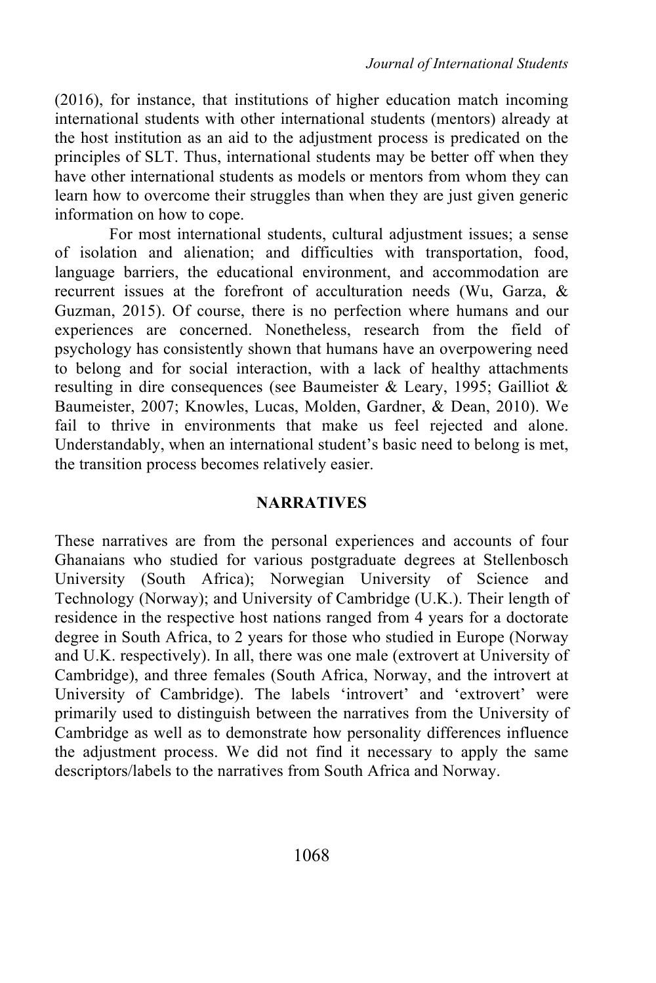(2016), for instance, that institutions of higher education match incoming international students with other international students (mentors) already at the host institution as an aid to the adjustment process is predicated on the principles of SLT. Thus, international students may be better off when they have other international students as models or mentors from whom they can learn how to overcome their struggles than when they are just given generic information on how to cope.

For most international students, cultural adjustment issues; a sense of isolation and alienation; and difficulties with transportation, food, language barriers, the educational environment, and accommodation are recurrent issues at the forefront of acculturation needs (Wu, Garza, & Guzman, 2015). Of course, there is no perfection where humans and our experiences are concerned. Nonetheless, research from the field of psychology has consistently shown that humans have an overpowering need to belong and for social interaction, with a lack of healthy attachments resulting in dire consequences (see Baumeister & Leary, 1995; Gailliot & Baumeister, 2007; Knowles, Lucas, Molden, Gardner, & Dean, 2010). We fail to thrive in environments that make us feel rejected and alone. Understandably, when an international student's basic need to belong is met, the transition process becomes relatively easier.

## **NARRATIVES**

These narratives are from the personal experiences and accounts of four Ghanaians who studied for various postgraduate degrees at Stellenbosch University (South Africa); Norwegian University of Science and Technology (Norway); and University of Cambridge (U.K.). Their length of residence in the respective host nations ranged from 4 years for a doctorate degree in South Africa, to 2 years for those who studied in Europe (Norway and U.K. respectively). In all, there was one male (extrovert at University of Cambridge), and three females (South Africa, Norway, and the introvert at University of Cambridge). The labels 'introvert' and 'extrovert' were primarily used to distinguish between the narratives from the University of Cambridge as well as to demonstrate how personality differences influence the adjustment process. We did not find it necessary to apply the same descriptors/labels to the narratives from South Africa and Norway.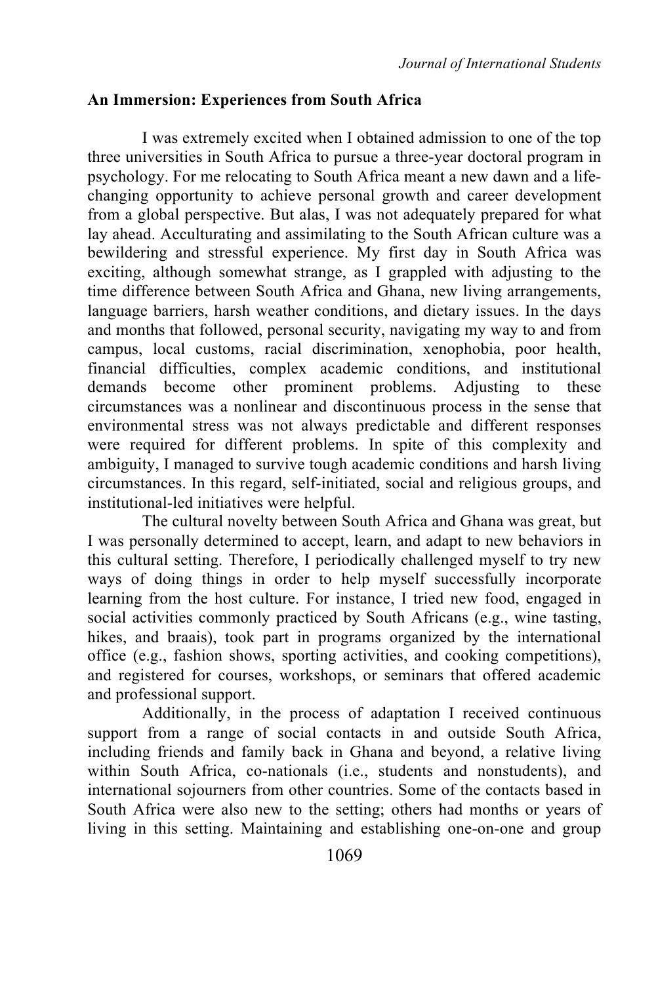#### **An Immersion: Experiences from South Africa**

I was extremely excited when I obtained admission to one of the top three universities in South Africa to pursue a three-year doctoral program in psychology. For me relocating to South Africa meant a new dawn and a lifechanging opportunity to achieve personal growth and career development from a global perspective. But alas, I was not adequately prepared for what lay ahead. Acculturating and assimilating to the South African culture was a bewildering and stressful experience. My first day in South Africa was exciting, although somewhat strange, as I grappled with adjusting to the time difference between South Africa and Ghana, new living arrangements, language barriers, harsh weather conditions, and dietary issues. In the days and months that followed, personal security, navigating my way to and from campus, local customs, racial discrimination, xenophobia, poor health, financial difficulties, complex academic conditions, and institutional demands become other prominent problems. Adjusting to these circumstances was a nonlinear and discontinuous process in the sense that environmental stress was not always predictable and different responses were required for different problems. In spite of this complexity and ambiguity, I managed to survive tough academic conditions and harsh living circumstances. In this regard, self-initiated, social and religious groups, and institutional-led initiatives were helpful.

The cultural novelty between South Africa and Ghana was great, but I was personally determined to accept, learn, and adapt to new behaviors in this cultural setting. Therefore, I periodically challenged myself to try new ways of doing things in order to help myself successfully incorporate learning from the host culture. For instance, I tried new food, engaged in social activities commonly practiced by South Africans (e.g., wine tasting, hikes, and braais), took part in programs organized by the international office (e.g., fashion shows, sporting activities, and cooking competitions), and registered for courses, workshops, or seminars that offered academic and professional support.

Additionally, in the process of adaptation I received continuous support from a range of social contacts in and outside South Africa, including friends and family back in Ghana and beyond, a relative living within South Africa, co-nationals (i.e., students and nonstudents), and international sojourners from other countries. Some of the contacts based in South Africa were also new to the setting; others had months or years of living in this setting. Maintaining and establishing one-on-one and group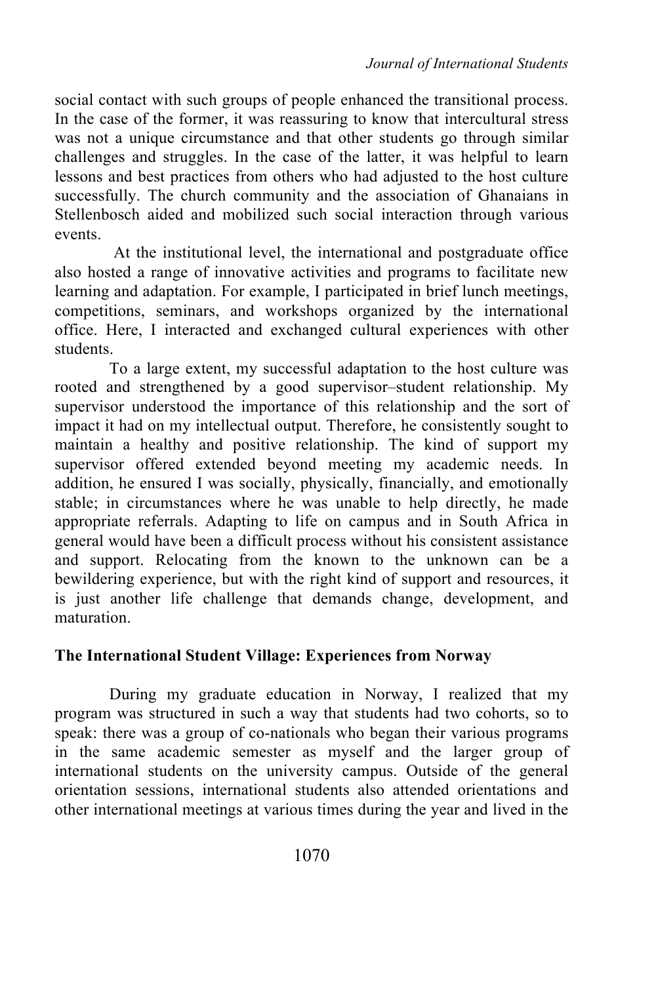social contact with such groups of people enhanced the transitional process. In the case of the former, it was reassuring to know that intercultural stress was not a unique circumstance and that other students go through similar challenges and struggles. In the case of the latter, it was helpful to learn lessons and best practices from others who had adjusted to the host culture successfully. The church community and the association of Ghanaians in Stellenbosch aided and mobilized such social interaction through various events.

At the institutional level, the international and postgraduate office also hosted a range of innovative activities and programs to facilitate new learning and adaptation. For example, I participated in brief lunch meetings, competitions, seminars, and workshops organized by the international office. Here, I interacted and exchanged cultural experiences with other students.

To a large extent, my successful adaptation to the host culture was rooted and strengthened by a good supervisor–student relationship. My supervisor understood the importance of this relationship and the sort of impact it had on my intellectual output. Therefore, he consistently sought to maintain a healthy and positive relationship. The kind of support my supervisor offered extended beyond meeting my academic needs. In addition, he ensured I was socially, physically, financially, and emotionally stable; in circumstances where he was unable to help directly, he made appropriate referrals. Adapting to life on campus and in South Africa in general would have been a difficult process without his consistent assistance and support. Relocating from the known to the unknown can be a bewildering experience, but with the right kind of support and resources, it is just another life challenge that demands change, development, and maturation.

# **The International Student Village: Experiences from Norway**

During my graduate education in Norway, I realized that my program was structured in such a way that students had two cohorts, so to speak: there was a group of co-nationals who began their various programs in the same academic semester as myself and the larger group of international students on the university campus. Outside of the general orientation sessions, international students also attended orientations and other international meetings at various times during the year and lived in the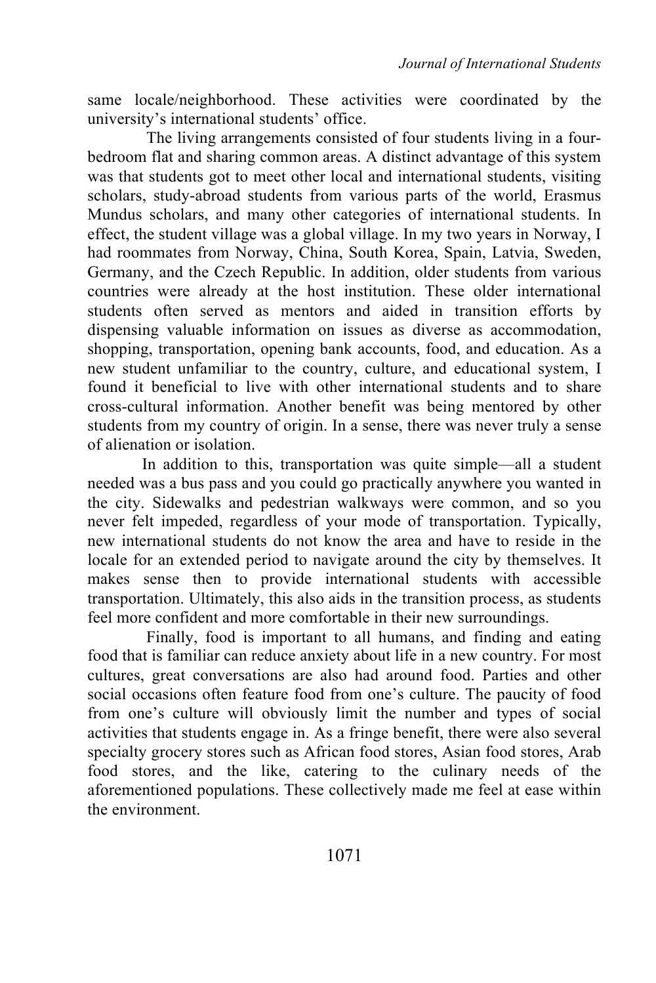same locale/neighborhood. These activities were coordinated by the university's international students' office.

The living arrangements consisted of four students living in a fourbedroom flat and sharing common areas. A distinct advantage of this system was that students got to meet other local and international students, visiting scholars, study-abroad students from various parts of the world, Erasmus Mundus scholars, and many other categories of international students. In effect, the student village was a global village. In my two years in Norway, I had roommates from Norway, China, South Korea, Spain, Latvia, Sweden, Germany, and the Czech Republic. In addition, older students from various countries were already at the host institution. These older international students often served as mentors and aided in transition efforts by dispensing valuable information on issues as diverse as accommodation, shopping, transportation, opening bank accounts, food, and education. As a new student unfamiliar to the country, culture, and educational system, I found it beneficial to live with other international students and to share cross-cultural information. Another benefit was being mentored by other students from my country of origin. In a sense, there was never truly a sense of alienation or isolation.

In addition to this, transportation was quite simple—all a student needed was a bus pass and you could go practically anywhere you wanted in the city. Sidewalks and pedestrian walkways were common, and so you never felt impeded, regardless of your mode of transportation. Typically, new international students do not know the area and have to reside in the locale for an extended period to navigate around the city by themselves. It makes sense then to provide international students with accessible transportation. Ultimately, this also aids in the transition process, as students feel more confident and more comfortable in their new surroundings.

Finally, food is important to all humans, and finding and eating food that is familiar can reduce anxiety about life in a new country. For most cultures, great conversations are also had around food. Parties and other social occasions often feature food from one's culture. The paucity of food from one's culture will obviously limit the number and types of social activities that students engage in. As a fringe benefit, there were also several specialty grocery stores such as African food stores, Asian food stores, Arab food stores, and the like, catering to the culinary needs of the aforementioned populations. These collectively made me feel at ease within the environment.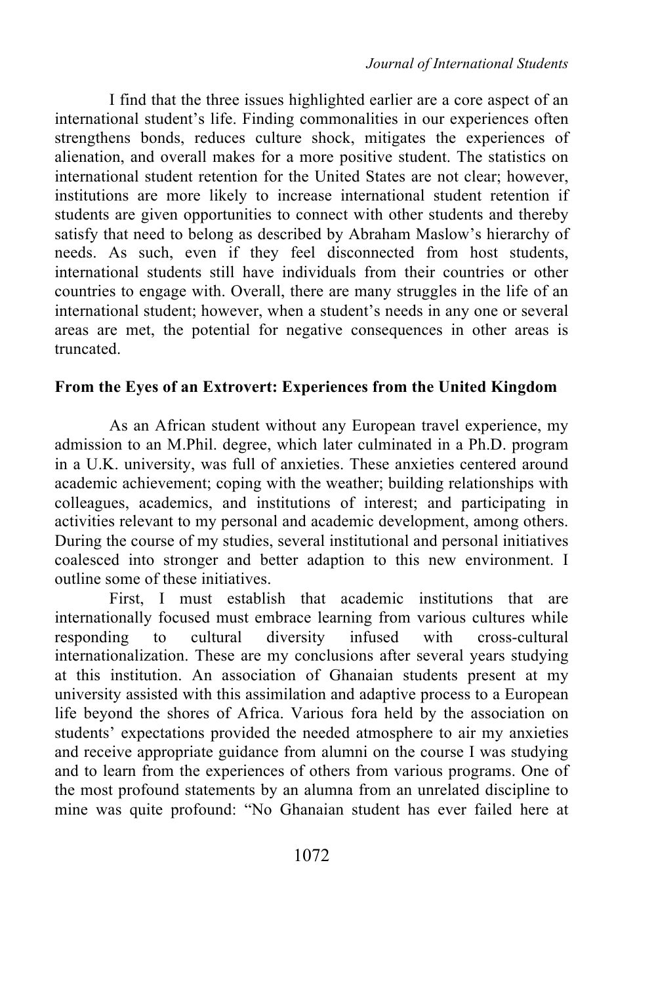I find that the three issues highlighted earlier are a core aspect of an international student's life. Finding commonalities in our experiences often strengthens bonds, reduces culture shock, mitigates the experiences of alienation, and overall makes for a more positive student. The statistics on international student retention for the United States are not clear; however, institutions are more likely to increase international student retention if students are given opportunities to connect with other students and thereby satisfy that need to belong as described by Abraham Maslow's hierarchy of needs. As such, even if they feel disconnected from host students, international students still have individuals from their countries or other countries to engage with. Overall, there are many struggles in the life of an international student; however, when a student's needs in any one or several areas are met, the potential for negative consequences in other areas is truncated.

#### **From the Eyes of an Extrovert: Experiences from the United Kingdom**

As an African student without any European travel experience, my admission to an M.Phil. degree, which later culminated in a Ph.D. program in a U.K. university, was full of anxieties. These anxieties centered around academic achievement; coping with the weather; building relationships with colleagues, academics, and institutions of interest; and participating in activities relevant to my personal and academic development, among others. During the course of my studies, several institutional and personal initiatives coalesced into stronger and better adaption to this new environment. I outline some of these initiatives.

First, I must establish that academic institutions that are internationally focused must embrace learning from various cultures while responding to cultural diversity infused with cross-cultural internationalization. These are my conclusions after several years studying at this institution. An association of Ghanaian students present at my university assisted with this assimilation and adaptive process to a European life beyond the shores of Africa. Various fora held by the association on students' expectations provided the needed atmosphere to air my anxieties and receive appropriate guidance from alumni on the course I was studying and to learn from the experiences of others from various programs. One of the most profound statements by an alumna from an unrelated discipline to mine was quite profound: "No Ghanaian student has ever failed here at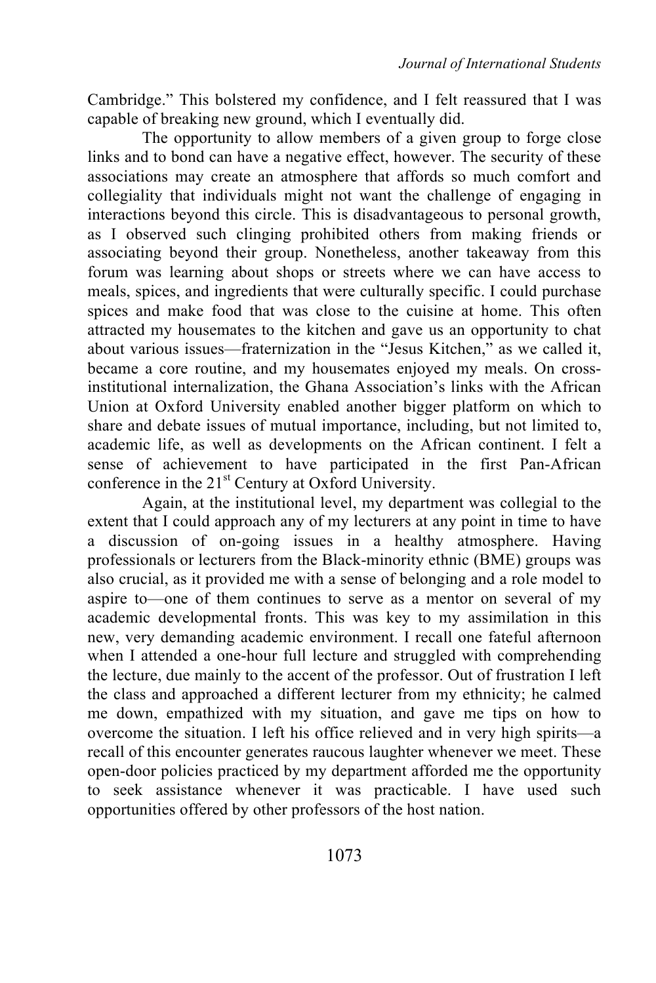Cambridge." This bolstered my confidence, and I felt reassured that I was capable of breaking new ground, which I eventually did.

The opportunity to allow members of a given group to forge close links and to bond can have a negative effect, however. The security of these associations may create an atmosphere that affords so much comfort and collegiality that individuals might not want the challenge of engaging in interactions beyond this circle. This is disadvantageous to personal growth, as I observed such clinging prohibited others from making friends or associating beyond their group. Nonetheless, another takeaway from this forum was learning about shops or streets where we can have access to meals, spices, and ingredients that were culturally specific. I could purchase spices and make food that was close to the cuisine at home. This often attracted my housemates to the kitchen and gave us an opportunity to chat about various issues—fraternization in the "Jesus Kitchen," as we called it, became a core routine, and my housemates enjoyed my meals. On crossinstitutional internalization, the Ghana Association's links with the African Union at Oxford University enabled another bigger platform on which to share and debate issues of mutual importance, including, but not limited to, academic life, as well as developments on the African continent. I felt a sense of achievement to have participated in the first Pan-African conference in the  $21<sup>st</sup>$  Century at Oxford University.

Again, at the institutional level, my department was collegial to the extent that I could approach any of my lecturers at any point in time to have a discussion of on-going issues in a healthy atmosphere. Having professionals or lecturers from the Black-minority ethnic (BME) groups was also crucial, as it provided me with a sense of belonging and a role model to aspire to—one of them continues to serve as a mentor on several of my academic developmental fronts. This was key to my assimilation in this new, very demanding academic environment. I recall one fateful afternoon when I attended a one-hour full lecture and struggled with comprehending the lecture, due mainly to the accent of the professor. Out of frustration I left the class and approached a different lecturer from my ethnicity; he calmed me down, empathized with my situation, and gave me tips on how to overcome the situation. I left his office relieved and in very high spirits—a recall of this encounter generates raucous laughter whenever we meet. These open-door policies practiced by my department afforded me the opportunity to seek assistance whenever it was practicable. I have used such opportunities offered by other professors of the host nation.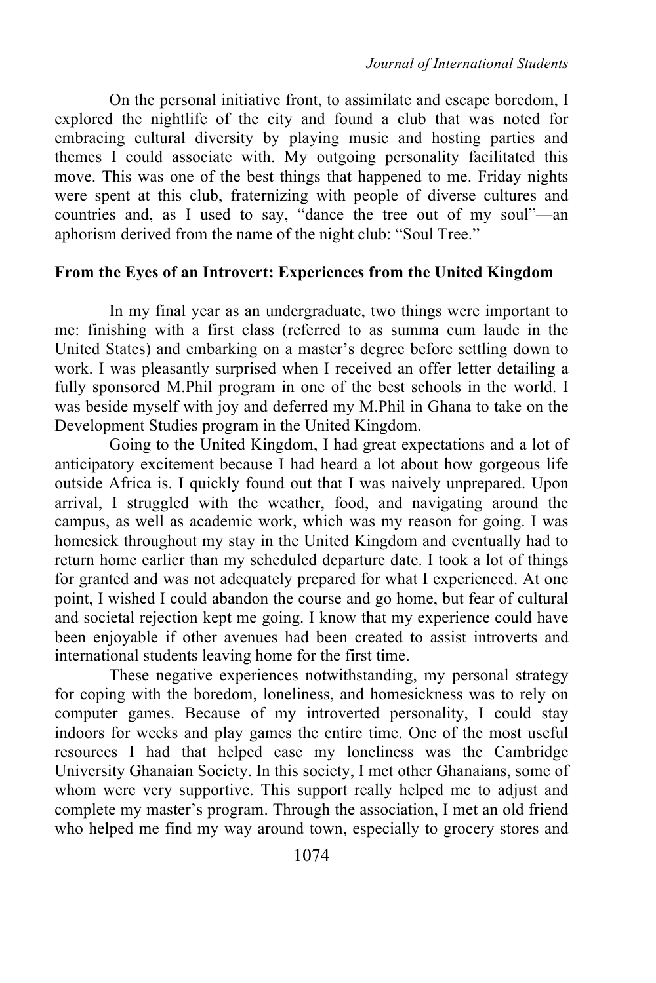On the personal initiative front, to assimilate and escape boredom, I explored the nightlife of the city and found a club that was noted for embracing cultural diversity by playing music and hosting parties and themes I could associate with. My outgoing personality facilitated this move. This was one of the best things that happened to me. Friday nights were spent at this club, fraternizing with people of diverse cultures and countries and, as I used to say, "dance the tree out of my soul"—an aphorism derived from the name of the night club: "Soul Tree."

#### **From the Eyes of an Introvert: Experiences from the United Kingdom**

In my final year as an undergraduate, two things were important to me: finishing with a first class (referred to as summa cum laude in the United States) and embarking on a master's degree before settling down to work. I was pleasantly surprised when I received an offer letter detailing a fully sponsored M.Phil program in one of the best schools in the world. I was beside myself with joy and deferred my M.Phil in Ghana to take on the Development Studies program in the United Kingdom.

Going to the United Kingdom, I had great expectations and a lot of anticipatory excitement because I had heard a lot about how gorgeous life outside Africa is. I quickly found out that I was naively unprepared. Upon arrival, I struggled with the weather, food, and navigating around the campus, as well as academic work, which was my reason for going. I was homesick throughout my stay in the United Kingdom and eventually had to return home earlier than my scheduled departure date. I took a lot of things for granted and was not adequately prepared for what I experienced. At one point, I wished I could abandon the course and go home, but fear of cultural and societal rejection kept me going. I know that my experience could have been enjoyable if other avenues had been created to assist introverts and international students leaving home for the first time.

These negative experiences notwithstanding, my personal strategy for coping with the boredom, loneliness, and homesickness was to rely on computer games. Because of my introverted personality, I could stay indoors for weeks and play games the entire time. One of the most useful resources I had that helped ease my loneliness was the Cambridge University Ghanaian Society. In this society, I met other Ghanaians, some of whom were very supportive. This support really helped me to adjust and complete my master's program. Through the association, I met an old friend who helped me find my way around town, especially to grocery stores and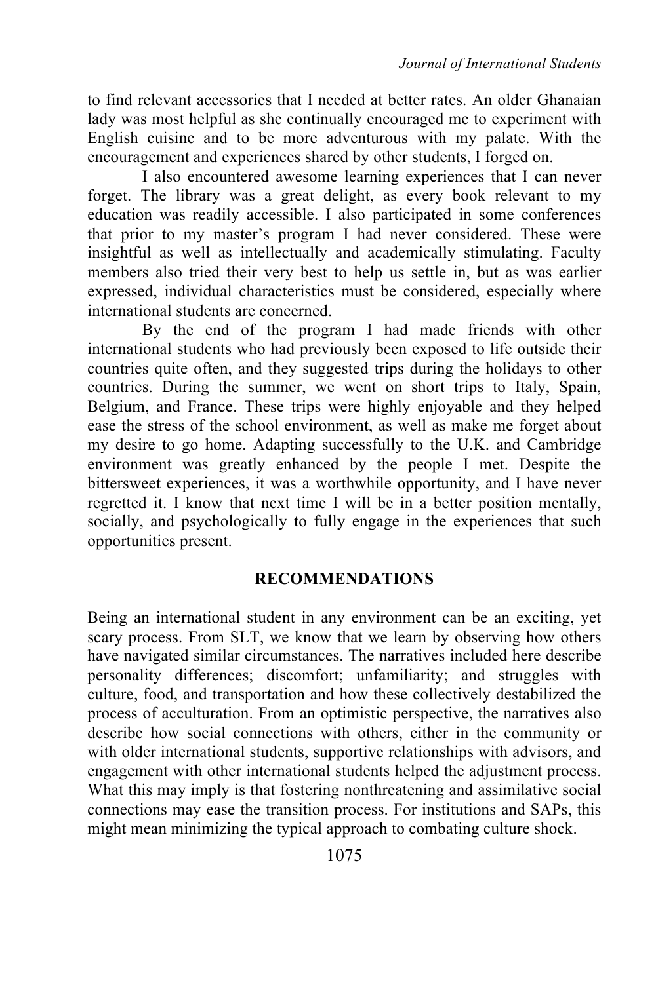to find relevant accessories that I needed at better rates. An older Ghanaian lady was most helpful as she continually encouraged me to experiment with English cuisine and to be more adventurous with my palate. With the encouragement and experiences shared by other students, I forged on.

I also encountered awesome learning experiences that I can never forget. The library was a great delight, as every book relevant to my education was readily accessible. I also participated in some conferences that prior to my master's program I had never considered. These were insightful as well as intellectually and academically stimulating. Faculty members also tried their very best to help us settle in, but as was earlier expressed, individual characteristics must be considered, especially where international students are concerned.

By the end of the program I had made friends with other international students who had previously been exposed to life outside their countries quite often, and they suggested trips during the holidays to other countries. During the summer, we went on short trips to Italy, Spain, Belgium, and France. These trips were highly enjoyable and they helped ease the stress of the school environment, as well as make me forget about my desire to go home. Adapting successfully to the U.K. and Cambridge environment was greatly enhanced by the people I met. Despite the bittersweet experiences, it was a worthwhile opportunity, and I have never regretted it. I know that next time I will be in a better position mentally, socially, and psychologically to fully engage in the experiences that such opportunities present.

## **RECOMMENDATIONS**

Being an international student in any environment can be an exciting, yet scary process. From SLT, we know that we learn by observing how others have navigated similar circumstances. The narratives included here describe personality differences; discomfort; unfamiliarity; and struggles with culture, food, and transportation and how these collectively destabilized the process of acculturation. From an optimistic perspective, the narratives also describe how social connections with others, either in the community or with older international students, supportive relationships with advisors, and engagement with other international students helped the adjustment process. What this may imply is that fostering nonthreatening and assimilative social connections may ease the transition process. For institutions and SAPs, this might mean minimizing the typical approach to combating culture shock.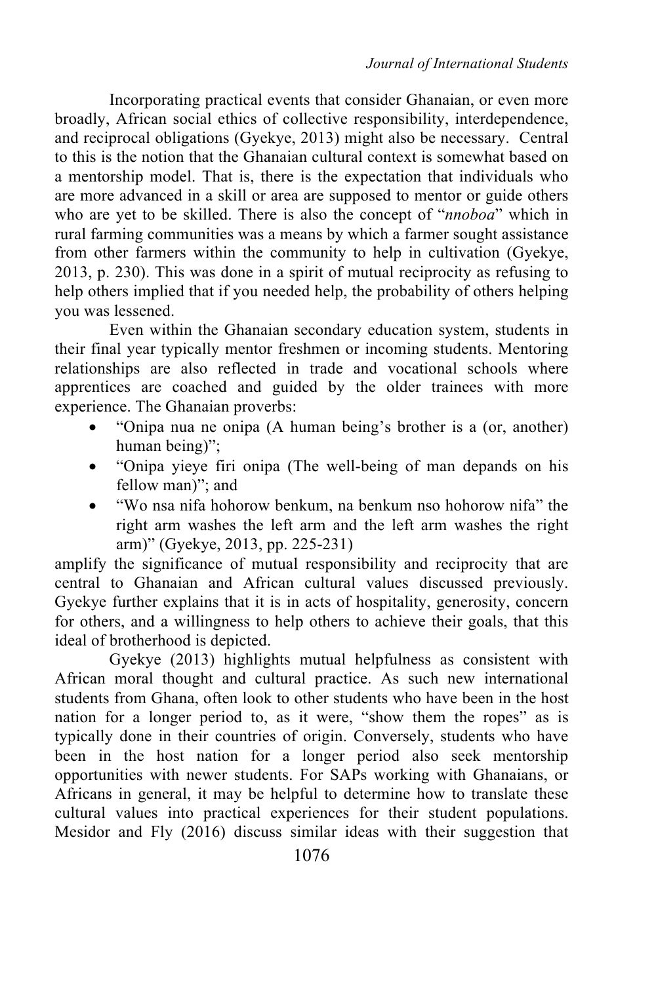Incorporating practical events that consider Ghanaian, or even more broadly, African social ethics of collective responsibility, interdependence, and reciprocal obligations (Gyekye, 2013) might also be necessary. Central to this is the notion that the Ghanaian cultural context is somewhat based on a mentorship model. That is, there is the expectation that individuals who are more advanced in a skill or area are supposed to mentor or guide others who are yet to be skilled. There is also the concept of "*nnoboa*" which in rural farming communities was a means by which a farmer sought assistance from other farmers within the community to help in cultivation (Gyekye, 2013, p. 230). This was done in a spirit of mutual reciprocity as refusing to help others implied that if you needed help, the probability of others helping you was lessened.

Even within the Ghanaian secondary education system, students in their final year typically mentor freshmen or incoming students. Mentoring relationships are also reflected in trade and vocational schools where apprentices are coached and guided by the older trainees with more experience. The Ghanaian proverbs:

- "Onipa nua ne onipa (A human being's brother is a (or, another) human being)";
- "Onipa yieye firi onipa (The well-being of man depands on his fellow man)"; and
- "Wo nsa nifa hohorow benkum, na benkum nso hohorow nifa" the right arm washes the left arm and the left arm washes the right arm)" (Gyekye, 2013, pp. 225-231)

amplify the significance of mutual responsibility and reciprocity that are central to Ghanaian and African cultural values discussed previously. Gyekye further explains that it is in acts of hospitality, generosity, concern for others, and a willingness to help others to achieve their goals, that this ideal of brotherhood is depicted.

Gyekye (2013) highlights mutual helpfulness as consistent with African moral thought and cultural practice. As such new international students from Ghana, often look to other students who have been in the host nation for a longer period to, as it were, "show them the ropes" as is typically done in their countries of origin. Conversely, students who have been in the host nation for a longer period also seek mentorship opportunities with newer students. For SAPs working with Ghanaians, or Africans in general, it may be helpful to determine how to translate these cultural values into practical experiences for their student populations. Mesidor and Fly (2016) discuss similar ideas with their suggestion that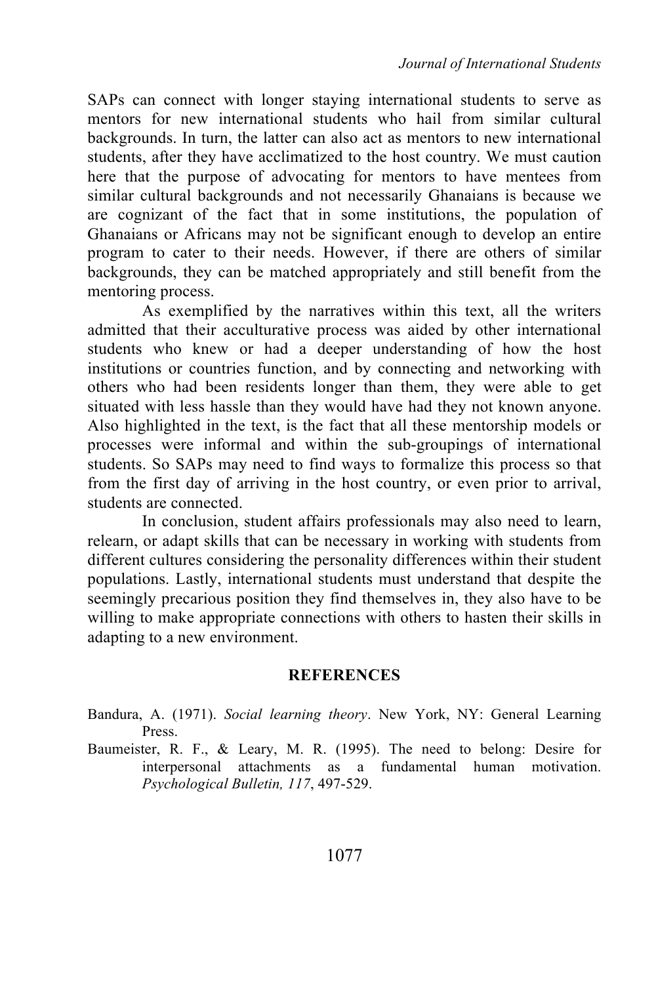SAPs can connect with longer staying international students to serve as mentors for new international students who hail from similar cultural backgrounds. In turn, the latter can also act as mentors to new international students, after they have acclimatized to the host country. We must caution here that the purpose of advocating for mentors to have mentees from similar cultural backgrounds and not necessarily Ghanaians is because we are cognizant of the fact that in some institutions, the population of Ghanaians or Africans may not be significant enough to develop an entire program to cater to their needs. However, if there are others of similar backgrounds, they can be matched appropriately and still benefit from the mentoring process.

As exemplified by the narratives within this text, all the writers admitted that their acculturative process was aided by other international students who knew or had a deeper understanding of how the host institutions or countries function, and by connecting and networking with others who had been residents longer than them, they were able to get situated with less hassle than they would have had they not known anyone. Also highlighted in the text, is the fact that all these mentorship models or processes were informal and within the sub-groupings of international students. So SAPs may need to find ways to formalize this process so that from the first day of arriving in the host country, or even prior to arrival, students are connected.

In conclusion, student affairs professionals may also need to learn, relearn, or adapt skills that can be necessary in working with students from different cultures considering the personality differences within their student populations. Lastly, international students must understand that despite the seemingly precarious position they find themselves in, they also have to be willing to make appropriate connections with others to hasten their skills in adapting to a new environment.

#### **REFERENCES**

Bandura, A. (1971). *Social learning theory*. New York, NY: General Learning Press.

Baumeister, R. F., & Leary, M. R. (1995). The need to belong: Desire for interpersonal attachments as a fundamental human motivation. *Psychological Bulletin, 117*, 497-529.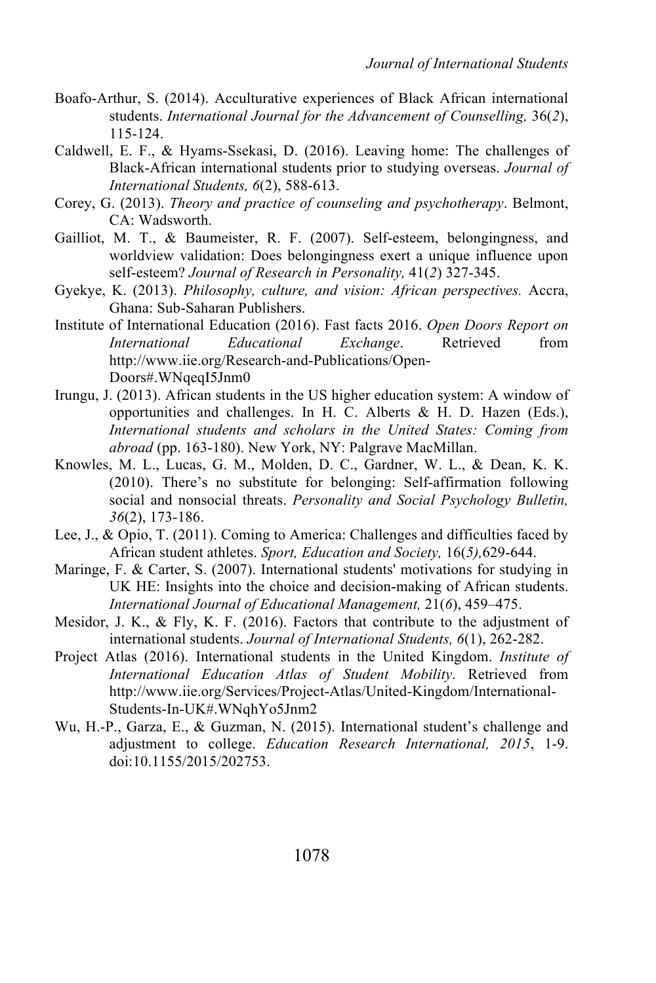- Boafo-Arthur, S. (2014). Acculturative experiences of Black African international students. *International Journal for the Advancement of Counselling,* 36(*2*), 115-124.
- Caldwell, E. F., & Hyams-Ssekasi, D. (2016). Leaving home: The challenges of Black-African international students prior to studying overseas. *Journal of International Students, 6*(2), 588-613.
- Corey, G. (2013). *Theory and practice of counseling and psychotherapy*. Belmont, CA: Wadsworth.
- Gailliot, M. T., & Baumeister, R. F. (2007). Self-esteem, belongingness, and worldview validation: Does belongingness exert a unique influence upon self-esteem? *Journal of Research in Personality,* 41(*2*) 327-345.
- Gyekye, K. (2013). *Philosophy, culture, and vision: African perspectives.* Accra, Ghana: Sub-Saharan Publishers.
- Institute of International Education (2016). Fast facts 2016. *Open Doors Report on International Educational Exchange*. Retrieved from http://www.iie.org/Research-and-Publications/Open-Doors#.WNqeqI5Jnm0
- Irungu, J. (2013). African students in the US higher education system: A window of opportunities and challenges. In H. C. Alberts & H. D. Hazen (Eds.), *International students and scholars in the United States: Coming from abroad* (pp. 163-180). New York, NY: Palgrave MacMillan.
- Knowles, M. L., Lucas, G. M., Molden, D. C., Gardner, W. L., & Dean, K. K. (2010). There's no substitute for belonging: Self-affirmation following social and nonsocial threats. *Personality and Social Psychology Bulletin, 36*(2), 173-186.
- Lee, J., & Opio, T. (2011). Coming to America: Challenges and difficulties faced by African student athletes. *Sport, Education and Society,* 16(*5),*629-644.
- Maringe, F. & Carter, S. (2007). International students' motivations for studying in UK HE: Insights into the choice and decision-making of African students. *International Journal of Educational Management,* 21(*6*), 459–475.
- Mesidor, J. K., & Fly, K. F. (2016). Factors that contribute to the adjustment of international students. *Journal of International Students, 6*(1), 262-282.
- Project Atlas (2016). International students in the United Kingdom. *Institute of International Education Atlas of Student Mobility*. Retrieved from http://www.iie.org/Services/Project-Atlas/United-Kingdom/International-Students-In-UK#.WNqhYo5Jnm2
- Wu, H.-P., Garza, E., & Guzman, N. (2015). International student's challenge and adjustment to college. *Education Research International, 2015*, 1-9. doi:10.1155/2015/202753.